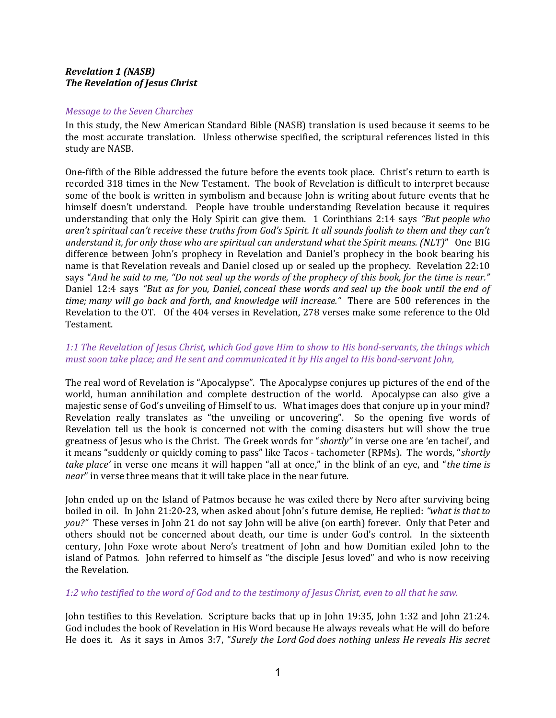## Revelation 1 (NASB) The Revelation of Jesus Christ

#### Message to the Seven Churches

In this study, the New American Standard Bible (NASB) translation is used because it seems to be the most accurate translation. Unless otherwise specified, the scriptural references listed in this study are NASB.

One-fifth of the Bible addressed the future before the events took place. Christ's return to earth is recorded 318 times in the New Testament. The book of Revelation is difficult to interpret because some of the book is written in symbolism and because John is writing about future events that he himself doesn't understand. People have trouble understanding Revelation because it requires understanding that only the Holy Spirit can give them. 1 Corinthians 2:14 says "But people who aren't spiritual can't receive these truths from God's Spirit. It all sounds foolish to them and they can't understand it, for only those who are spiritual can understand what the Spirit means. (NLT)" One BIG difference between John's prophecy in Revelation and Daniel's prophecy in the book bearing his name is that Revelation reveals and Daniel closed up or sealed up the prophecy. Revelation 22:10 says "And he said to me, "Do not seal up the words of the prophecy of this book, for the time is near." Daniel 12:4 says "But as for you, Daniel, conceal these words and seal up the book until the end of time; many will go back and forth, and knowledge will increase." There are 500 references in the Revelation to the OT. Of the 404 verses in Revelation, 278 verses make some reference to the Old Testament.

# 1:1 The Revelation of Jesus Christ, which God gave Him to show to His bond-servants, the things which must soon take place; and He sent and communicated it by His angel to His bond-servant John,

The real word of Revelation is "Apocalypse". The Apocalypse conjures up pictures of the end of the world, human annihilation and complete destruction of the world. Apocalypse can also give a majestic sense of God's unveiling of Himself to us. What images does that conjure up in your mind? Revelation really translates as "the unveiling or uncovering". So the opening five words of Revelation tell us the book is concerned not with the coming disasters but will show the true greatness of Jesus who is the Christ. The Greek words for "shortly" in verse one are 'en tachei', and it means "suddenly or quickly coming to pass" like Tacos - tachometer (RPMs). The words, "shortly take place' in verse one means it will happen "all at once," in the blink of an eye, and "the time is near" in verse three means that it will take place in the near future.

John ended up on the Island of Patmos because he was exiled there by Nero after surviving being boiled in oil. In John 21:20-23, when asked about John's future demise, He replied: "what is that to you?" These verses in John 21 do not say John will be alive (on earth) forever. Only that Peter and others should not be concerned about death, our time is under God's control. In the sixteenth century, John Foxe wrote about Nero's treatment of John and how Domitian exiled John to the island of Patmos. John referred to himself as "the disciple Jesus loved" and who is now receiving the Revelation.

#### 1:2 who testified to the word of God and to the testimony of Jesus Christ, even to all that he saw.

John testifies to this Revelation. Scripture backs that up in John 19:35, John 1:32 and John 21:24. God includes the book of Revelation in His Word because He always reveals what He will do before He does it. As it says in Amos 3:7, "Surely the Lord God does nothing unless He reveals His secret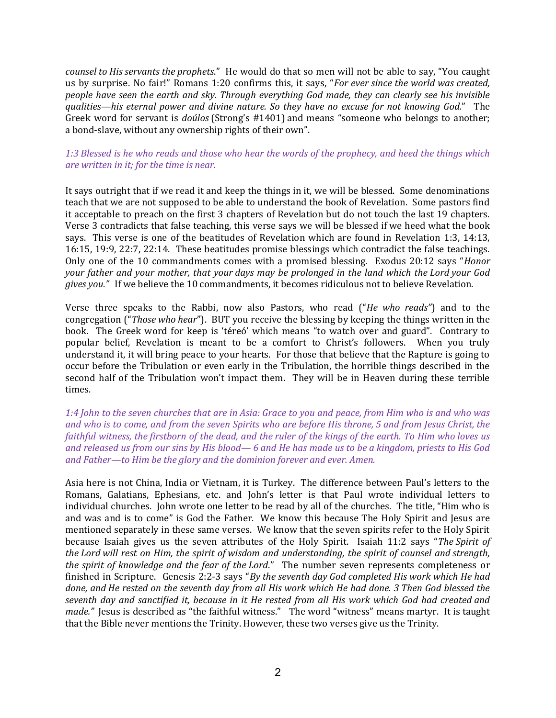counsel to His servants the prophets." He would do that so men will not be able to say, "You caught us by surprise. No fair!" Romans 1:20 confirms this, it says, "For ever since the world was created, people have seen the earth and sky. Through everything God made, they can clearly see his invisible qualities—his eternal power and divine nature. So they have no excuse for not knowing God." The Greek word for servant is doúlos (Strong's #1401) and means "someone who belongs to another; a bond-slave, without any ownership rights of their own".

# 1:3 Blessed is he who reads and those who hear the words of the prophecy, and heed the things which are written in it; for the time is near.

It says outright that if we read it and keep the things in it, we will be blessed. Some denominations teach that we are not supposed to be able to understand the book of Revelation. Some pastors find it acceptable to preach on the first 3 chapters of Revelation but do not touch the last 19 chapters. Verse 3 contradicts that false teaching, this verse says we will be blessed if we heed what the book says. This verse is one of the beatitudes of Revelation which are found in Revelation 1:3, 14:13, 16:15, 19:9, 22:7, 22:14. These beatitudes promise blessings which contradict the false teachings. Only one of the 10 commandments comes with a promised blessing. Exodus 20:12 says "Honor your father and your mother, that your days may be prolonged in the land which the Lord your God gives you." If we believe the 10 commandments, it becomes ridiculous not to believe Revelation.

Verse three speaks to the Rabbi, now also Pastors, who read ("He who reads") and to the congregation ("Those who hear"). BUT you receive the blessing by keeping the things written in the book. The Greek word for keep is 'téreó' which means "to watch over and guard". Contrary to popular belief, Revelation is meant to be a comfort to Christ's followers. When you truly understand it, it will bring peace to your hearts. For those that believe that the Rapture is going to occur before the Tribulation or even early in the Tribulation, the horrible things described in the second half of the Tribulation won't impact them. They will be in Heaven during these terrible times.

1:4 John to the seven churches that are in Asia: Grace to you and peace, from Him who is and who was and who is to come, and from the seven Spirits who are before His throne, 5 and from Jesus Christ, the faithful witness, the firstborn of the dead, and the ruler of the kings of the earth. To Him who loves us and released us from our sins by His blood— 6 and He has made us to be a kingdom, priests to His God and Father—to Him be the glory and the dominion forever and ever. Amen.

Asia here is not China, India or Vietnam, it is Turkey. The difference between Paul's letters to the Romans, Galatians, Ephesians, etc. and John's letter is that Paul wrote individual letters to individual churches. John wrote one letter to be read by all of the churches. The title, "Him who is and was and is to come" is God the Father. We know this because The Holy Spirit and Jesus are mentioned separately in these same verses. We know that the seven spirits refer to the Holy Spirit because Isaiah gives us the seven attributes of the Holy Spirit. Isaiah 11:2 says "The Spirit of the Lord will rest on Him, the spirit of wisdom and understanding, the spirit of counsel and strength, the spirit of knowledge and the fear of the Lord." The number seven represents completeness or finished in Scripture. Genesis 2:2-3 says "By the seventh day God completed His work which He had done, and He rested on the seventh day from all His work which He had done. 3 Then God blessed the seventh day and sanctified it, because in it He rested from all His work which God had created and made." Jesus is described as "the faithful witness." The word "witness" means martyr. It is taught that the Bible never mentions the Trinity. However, these two verses give us the Trinity.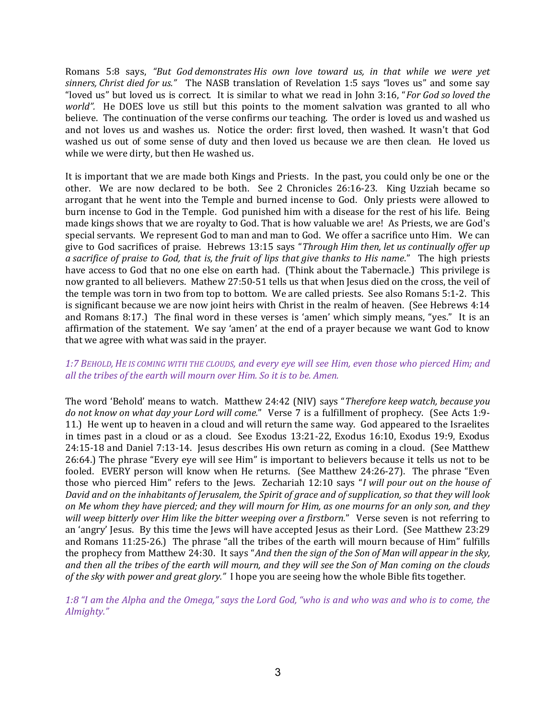Romans 5:8 says, "But God demonstrates His own love toward us, in that while we were yet sinners, Christ died for us." The NASB translation of Revelation 1:5 says "loves us" and some say "loved us" but loved us is correct. It is similar to what we read in John 3:16, "For God so loved the world". He DOES love us still but this points to the moment salvation was granted to all who believe. The continuation of the verse confirms our teaching. The order is loved us and washed us and not loves us and washes us. Notice the order: first loved, then washed. It wasn't that God washed us out of some sense of duty and then loved us because we are then clean. He loved us while we were dirty, but then He washed us.

It is important that we are made both Kings and Priests. In the past, you could only be one or the other. We are now declared to be both. See 2 Chronicles 26:16-23. King Uzziah became so arrogant that he went into the Temple and burned incense to God. Only priests were allowed to burn incense to God in the Temple. God punished him with a disease for the rest of his life. Being made kings shows that we are royalty to God. That is how valuable we are! As Priests, we are God's special servants. We represent God to man and man to God. We offer a sacrifice unto Him. We can give to God sacrifices of praise. Hebrews 13:15 says "Through Him then, let us continually offer up a sacrifice of praise to God, that is, the fruit of lips that give thanks to His name." The high priests have access to God that no one else on earth had. (Think about the Tabernacle.) This privilege is now granted to all believers. Mathew 27:50-51 tells us that when Jesus died on the cross, the veil of the temple was torn in two from top to bottom. We are called priests. See also Romans 5:1-2. This is significant because we are now joint heirs with Christ in the realm of heaven. (See Hebrews 4:14 and Romans 8:17.) The final word in these verses is 'amen' which simply means, "yes." It is an affirmation of the statement. We say 'amen' at the end of a prayer because we want God to know that we agree with what was said in the prayer.

# 1:7 BEHOLD, HE IS COMING WITH THE CLOUDS, and every eye will see Him, even those who pierced Him; and all the tribes of the earth will mourn over Him. So it is to be. Amen.

The word 'Behold' means to watch. Matthew 24:42 (NIV) says "Therefore keep watch, because you do not know on what day your Lord will come." Verse 7 is a fulfillment of prophecy. (See Acts 1:9- 11.) He went up to heaven in a cloud and will return the same way. God appeared to the Israelites in times past in a cloud or as a cloud. See Exodus 13:21-22, Exodus 16:10, Exodus 19:9, Exodus 24:15-18 and Daniel 7:13-14. Jesus describes His own return as coming in a cloud. (See Matthew 26:64.) The phrase "Every eye will see Him" is important to believers because it tells us not to be fooled. EVERY person will know when He returns. (See Matthew 24:26-27). The phrase "Even those who pierced Him" refers to the Jews. Zechariah 12:10 says "I will pour out on the house of David and on the inhabitants of Jerusalem, the Spirit of grace and of supplication, so that they will look on Me whom they have pierced; and they will mourn for Him, as one mourns for an only son, and they will weep bitterly over Him like the bitter weeping over a firstborn." Verse seven is not referring to an 'angry' Jesus. By this time the Jews will have accepted Jesus as their Lord. (See Matthew 23:29 and Romans 11:25-26.) The phrase "all the tribes of the earth will mourn because of Him" fulfills the prophecy from Matthew 24:30. It says "And then the sign of the Son of Man will appear in the sky, and then all the tribes of the earth will mourn, and they will see the Son of Man coming on the clouds of the sky with power and great glory." I hope you are seeing how the whole Bible fits together.

1:8 "I am the Alpha and the Omega," says the Lord God, "who is and who was and who is to come, the Almighty."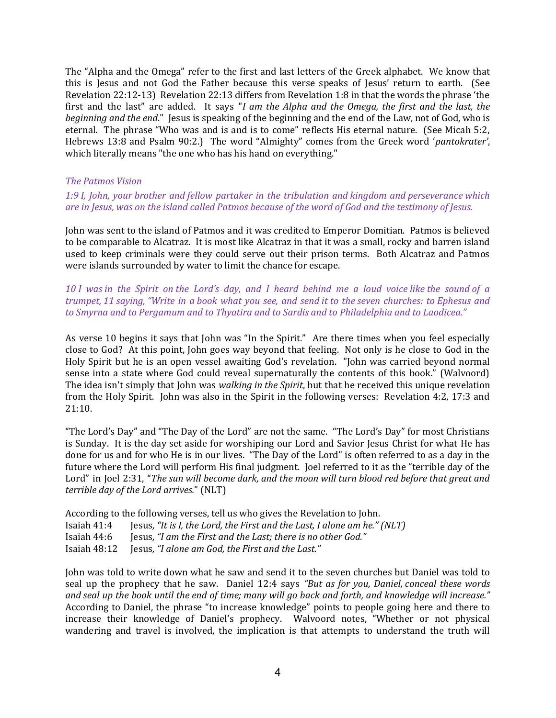The "Alpha and the Omega" refer to the first and last letters of the Greek alphabet. We know that this is Jesus and not God the Father because this verse speaks of Jesus' return to earth. (See Revelation 22:12-13) Revelation 22:13 differs from Revelation 1:8 in that the words the phrase 'the first and the last" are added. It says "I am the Alpha and the Omega, the first and the last, the beginning and the end." Jesus is speaking of the beginning and the end of the Law, not of God, who is eternal. The phrase "Who was and is and is to come" reflects His eternal nature. (See Micah 5:2, Hebrews 13:8 and Psalm 90:2.) The word "Almighty" comes from the Greek word 'pantokrater', which literally means "the one who has his hand on everything."

#### The Patmos Vision

1:9 I, John, your brother and fellow partaker in the tribulation and kingdom and perseverance which are in Jesus, was on the island called Patmos because of the word of God and the testimony of Jesus.

John was sent to the island of Patmos and it was credited to Emperor Domitian. Patmos is believed to be comparable to Alcatraz. It is most like Alcatraz in that it was a small, rocky and barren island used to keep criminals were they could serve out their prison terms. Both Alcatraz and Patmos were islands surrounded by water to limit the chance for escape.

10 I was in the Spirit on the Lord's day, and I heard behind me a loud voice like the sound of a trumpet, 11 saying, "Write in a book what you see, and send it to the seven churches: to Ephesus and to Smyrna and to Pergamum and to Thyatira and to Sardis and to Philadelphia and to Laodicea."

As verse 10 begins it says that John was "In the Spirit." Are there times when you feel especially close to God? At this point, John goes way beyond that feeling. Not only is he close to God in the Holy Spirit but he is an open vessel awaiting God's revelation. "John was carried beyond normal sense into a state where God could reveal supernaturally the contents of this book." (Walvoord) The idea isn't simply that John was *walking in the Spirit*, but that he received this unique revelation from the Holy Spirit. John was also in the Spirit in the following verses: Revelation 4:2, 17:3 and 21:10.

"The Lord's Day" and "The Day of the Lord" are not the same. "The Lord's Day" for most Christians is Sunday. It is the day set aside for worshiping our Lord and Savior Jesus Christ for what He has done for us and for who He is in our lives. "The Day of the Lord" is often referred to as a day in the future where the Lord will perform His final judgment. Joel referred to it as the "terrible day of the Lord" in Joel 2:31, "The sun will become dark, and the moon will turn blood red before that great and terrible day of the Lord arrives." (NLT)

According to the following verses, tell us who gives the Revelation to John.

- Isaiah  $41:4$  Jesus, "It is I, the Lord, the First and the Last, I alone am he." (NLT)
- Isaiah 44:6 Jesus, "I am the First and the Last; there is no other God."

Isaiah 48:12 Jesus, "I alone am God, the First and the Last."

John was told to write down what he saw and send it to the seven churches but Daniel was told to seal up the prophecy that he saw. Daniel 12:4 says "But as for you, Daniel, conceal these words and seal up the book until the end of time; many will go back and forth, and knowledge will increase." According to Daniel, the phrase "to increase knowledge" points to people going here and there to increase their knowledge of Daniel's prophecy. Walvoord notes, "Whether or not physical wandering and travel is involved, the implication is that attempts to understand the truth will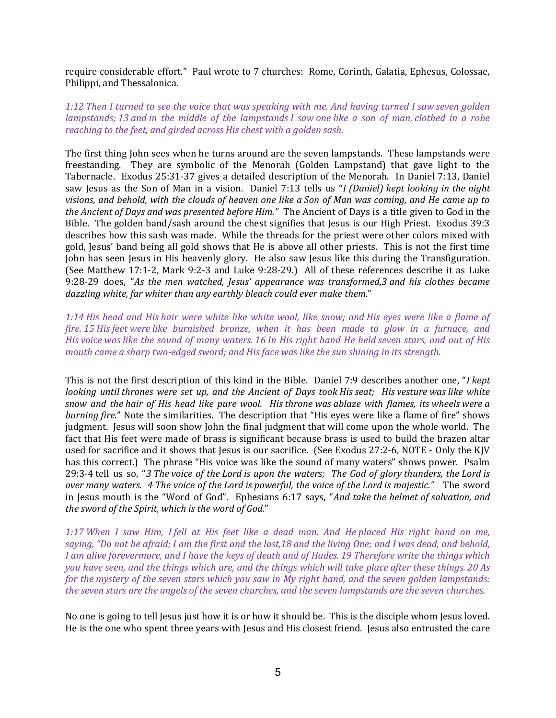require considerable effort." Paul wrote to 7 churches: Rome, Corinth, Galatia, Ephesus, Colossae, Philippi, and Thessalonica.

### 1:12 Then I turned to see the voice that was speaking with me. And having turned I saw seven golden lampstands; 13 and in the middle of the lampstands I saw one like a son of man, clothed in a robe reaching to the feet, and girded across His chest with a golden sash.

The first thing John sees when he turns around are the seven lampstands. These lampstands were freestanding. They are symbolic of the Menorah (Golden Lampstand) that gave light to the Tabernacle. Exodus 25:31-37 gives a detailed description of the Menorah. In Daniel 7:13, Daniel saw Jesus as the Son of Man in a vision. Daniel 7:13 tells us "I (Daniel) kept looking in the night visions, and behold, with the clouds of heaven one like a Son of Man was coming, and He came up to the Ancient of Days and was presented before Him." The Ancient of Days is a title given to God in the Bible. The golden band/sash around the chest signifies that Jesus is our High Priest. Exodus 39:3 describes how this sash was made. While the threads for the priest were other colors mixed with gold, Jesus' band being all gold shows that He is above all other priests. This is not the first time John has seen Jesus in His heavenly glory. He also saw Jesus like this during the Transfiguration. (See Matthew 17:1-2, Mark 9:2-3 and Luke 9:28-29.) All of these references describe it as Luke 9:28-29 does, "As the men watched, Jesus' appearance was transformed,3 and his clothes became dazzling white, far whiter than any earthly bleach could ever make them."

1:14 His head and His hair were white like white wool, like snow; and His eyes were like a flame of fire. 15 His feet were like burnished bronze, when it has been made to glow in a furnace, and His voice was like the sound of many waters. 16 In His right hand He held seven stars, and out of His mouth came a sharp two-edged sword; and His face was like the sun shining in its strength.

This is not the first description of this kind in the Bible. Daniel 7:9 describes another one, "I kept looking until thrones were set up, and the Ancient of Days took His seat; His vesture was like white snow and the hair of His head like pure wool. His throne was ablaze with flames, its wheels were a burning fire." Note the similarities. The description that "His eyes were like a flame of fire" shows judgment. Jesus will soon show John the final judgment that will come upon the whole world. The fact that His feet were made of brass is significant because brass is used to build the brazen altar used for sacrifice and it shows that Jesus is our sacrifice. (See Exodus 27:2-6, NOTE - Only the KJV has this correct.) The phrase "His voice was like the sound of many waters" shows power. Psalm 29:3-4 tell us so, "3 The voice of the Lord is upon the waters; The God of glory thunders, the Lord is over many waters. 4 The voice of the Lord is powerful, the voice of the Lord is majestic." The sword in Jesus mouth is the "Word of God". Ephesians 6:17 says, "And take the helmet of salvation, and the sword of the Spirit, which is the word of God."

1:17 When I saw Him, I fell at His feet like a dead man. And He placed His right hand on me, saying, "Do not be afraid; I am the first and the last,18 and the living One; and I was dead, and behold, I am alive forevermore, and I have the keys of death and of Hades. 19 Therefore write the things which you have seen, and the things which are, and the things which will take place after these things. 20 As for the mystery of the seven stars which you saw in My right hand, and the seven golden lampstands: the seven stars are the angels of the seven churches, and the seven lampstands are the seven churches.

No one is going to tell Jesus just how it is or how it should be. This is the disciple whom Jesus loved. He is the one who spent three years with Jesus and His closest friend. Jesus also entrusted the care